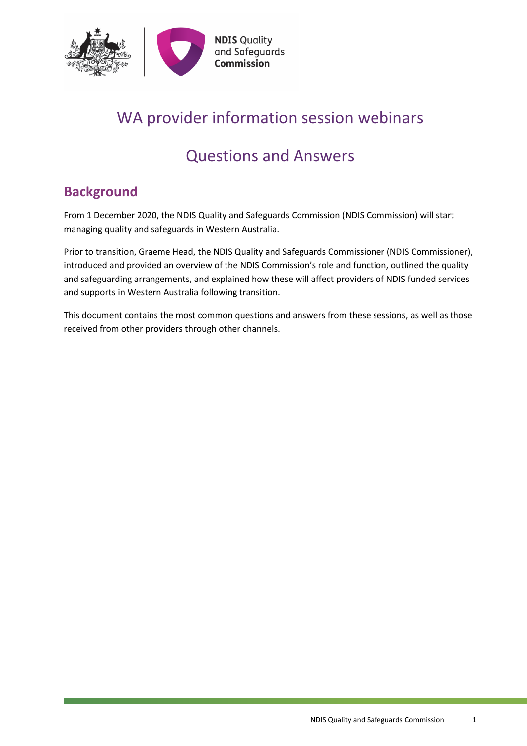

# WA provider information session webinars

# Questions and Answers

# <span id="page-0-0"></span>**Background**

From 1 December 2020, the NDIS Quality and Safeguards Commission (NDIS Commission) will start managing quality and safeguards in Western Australia.

Prior to transition, Graeme Head, the NDIS Quality and Safeguards Commissioner (NDIS Commissioner), introduced and provided an overview of the NDIS Commission's role and function, outlined the quality and safeguarding arrangements, and explained how these will affect providers of NDIS funded services and supports in Western Australia following transition.

This document contains the most common questions and answers from these sessions, as well as those received from other providers through other channels.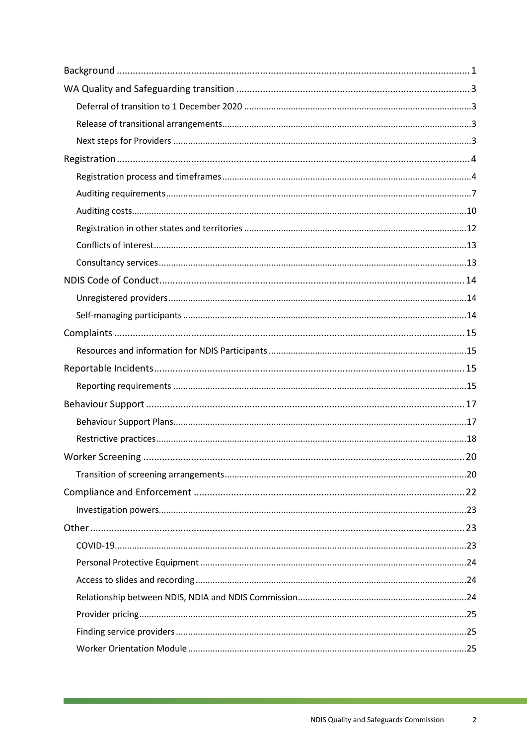<u> 1989 - Johann Barn, mars e</u>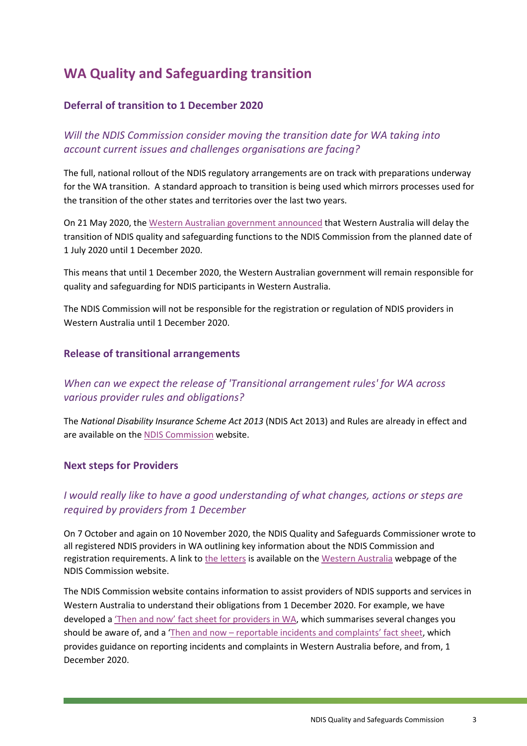# <span id="page-2-0"></span>**WA Quality and Safeguarding transition**

#### <span id="page-2-1"></span>**Deferral of transition to 1 December 2020**

*Will the NDIS Commission consider moving the transition date for WA taking into account current issues and challenges organisations are facing?*

The full, national rollout of the NDIS regulatory arrangements are on track with preparations underway for the WA transition. A standard approach to transition is being used which mirrors processes used for the transition of the other states and territories over the last two years.

On 21 May 2020, the [Western Australian government announced](https://www.mediastatements.wa.gov.au/Pages/McGowan/2020/05/More-time-for-transition-to-Quality-and-Safeguards-Commission.aspx) that Western Australia will delay the transition of NDIS quality and safeguarding functions to the NDIS Commission from the planned date of 1 July 2020 until 1 December 2020.

This means that until 1 December 2020, the Western Australian government will remain responsible for quality and safeguarding for NDIS participants in Western Australia.

The NDIS Commission will not be responsible for the registration or regulation of NDIS providers in Western Australia until 1 December 2020.

#### <span id="page-2-2"></span>**Release of transitional arrangements**

*When can we expect the release of 'Transitional arrangement rules' for WA across various provider rules and obligations?*

The *National Disability Insurance Scheme Act 2013* (NDIS Act 2013) and Rules are already in effect and are available on th[e NDIS Commission](https://www.ndiscommission.gov.au/about/legislation-rules-policies) website.

#### <span id="page-2-3"></span>**Next steps for Providers**

### *I would really like to have a good understanding of what changes, actions or steps are required by providers from 1 December*

On 7 October and again on 10 November 2020, the NDIS Quality and Safeguards Commissioner wrote to all registered NDIS providers in WA outlining key information about the NDIS Commission and registration requirements. A link t[o the letters](https://www.ndiscommission.gov.au/wa) is available on the [Western Australia](https://www.ndiscommission.gov.au/wa) webpage of the NDIS Commission website.

The NDIS Commission website contains information to assist providers of NDIS supports and services in Western Australia to understand their obligations from 1 December 2020. For example, we have developed a ['Then and now' fact sheet for providers in WA,](https://www.ndiscommission.gov.au/document/1931) which summarises several changes you should be aware of, and a 'Then and now – [reportable incidents and complaints' fact sheet,](https://www.ndiscommission.gov.au/document/2241) which provides guidance on reporting incidents and complaints in Western Australia before, and from, 1 December 2020.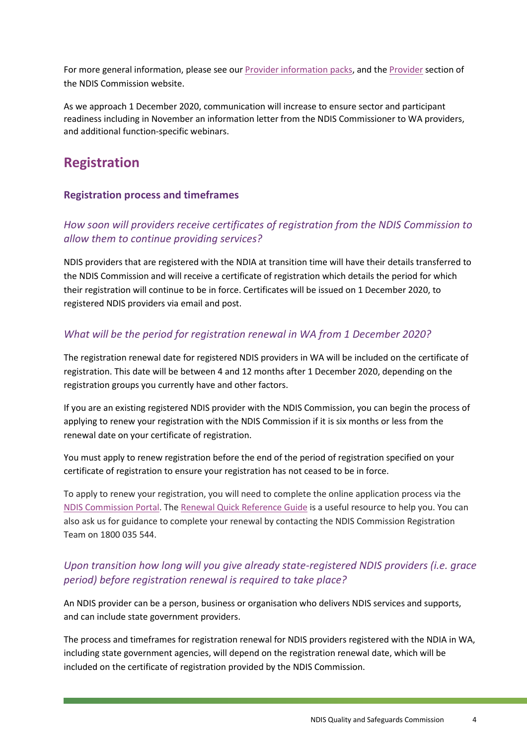For more general information, please see our **Provider information packs**, and the **Provider** section of the NDIS Commission website.

As we approach 1 December 2020, communication will increase to ensure sector and participant readiness including in November an information letter from the NDIS Commissioner to WA providers, and additional function-specific webinars.

# <span id="page-3-0"></span>**Registration**

#### <span id="page-3-1"></span>**Registration process and timeframes**

### *How soon will providers receive certificates of registration from the NDIS Commission to allow them to continue providing services?*

NDIS providers that are registered with the NDIA at transition time will have their details transferred to the NDIS Commission and will receive a certificate of registration which details the period for which their registration will continue to be in force. Certificates will be issued on 1 December 2020, to registered NDIS providers via email and post.

#### *What will be the period for registration renewal in WA from 1 December 2020?*

The registration renewal date for registered NDIS providers in WA will be included on the certificate of registration. This date will be between 4 and 12 months after 1 December 2020, depending on the registration groups you currently have and other factors.

If you are an existing registered NDIS provider with the NDIS Commission, you can begin the process of applying to renew your registration with the NDIS Commission if it is six months or less from the renewal date on your certificate of registration.

You must apply to renew registration before the end of the period of registration specified on your certificate of registration to ensure your registration has not ceased to be in force.

To apply to renew your registration, you will need to complete the online application process via the [NDIS Commission Portal.](https://www.ndiscommission.gov.au/providers/ndis-commission-portal) The [Renewal Quick Reference Guide](https://www.ndiscommission.gov.au/document/1016) is a useful resource to help you. You can also ask us for guidance to complete your renewal by contacting the NDIS Commission Registration Team on 1800 035 544.

### *Upon transition how long will you give already state-registered NDIS providers (i.e. grace period) before registration renewal is required to take place?*

An NDIS provider can be a person, business or organisation who delivers NDIS services and supports, and can include state government providers.

The process and timeframes for registration renewal for NDIS providers registered with the NDIA in WA, including state government agencies, will depend on the registration renewal date, which will be included on the certificate of registration provided by the NDIS Commission.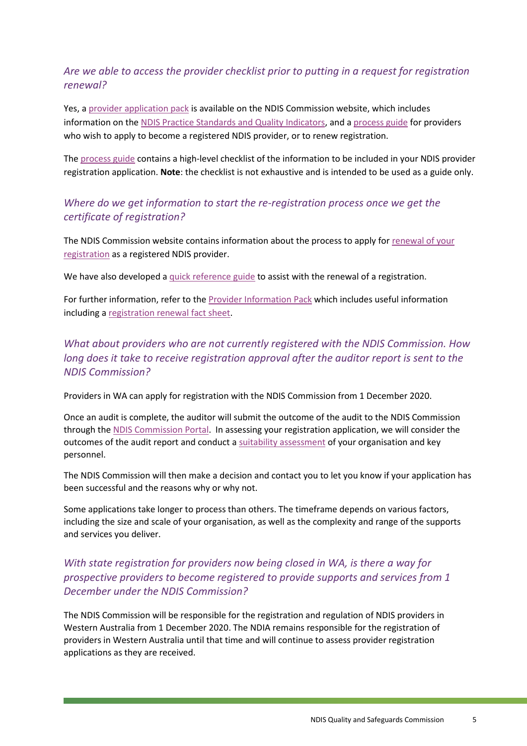### *Are we able to access the provider checklist prior to putting in a request for registration renewal?*

Yes, a [provider application pack](https://www.ndiscommission.gov.au/resources/application-pack) is available on the NDIS Commission website, which includes information on the [NDIS Practice Standards and Quality Indicators,](https://www.ndiscommission.gov.au/document/986) and [a process guide](https://www.ndiscommission.gov.au/document/991) for providers who wish to apply to become a registered NDIS provider, or to renew registration.

The [process guide](https://www.ndiscommission.gov.au/document/991) contains a high-level checklist of the information to be included in your NDIS provider registration application. **Note**: the checklist is not exhaustive and is intended to be used as a guide only.

#### *Where do we get information to start the re-registration process once we get the certificate of registration?*

The NDIS Commission website contains information about the process to apply for [renewal of your](https://www.ndiscommission.gov.au/providers/renew-your-registration)  [registration](https://www.ndiscommission.gov.au/providers/renew-your-registration) as a registered NDIS provider.

We have also developed a [quick reference guide](https://www.ndiscommission.gov.au/document/1016) to assist with the renewal of a registration.

For further information, refer to th[e Provider Information Pack](https://www.ndiscommission.gov.au/providers/more-information/providerpack) which includes useful information including a [registration renewal fact sheet.](https://www.ndiscommission.gov.au/sites/default/files/documents/2020-06/registration-renewal-factsheet-ov-june-2020.pdf)

*What about providers who are not currently registered with the NDIS Commission. How long does it take to receive registration approval after the auditor report is sent to the NDIS Commission?*

Providers in WA can apply for registration with the NDIS Commission from 1 December 2020.

Once an audit is complete, the auditor will submit the outcome of the audit to the NDIS Commission through th[e NDIS Commission Portal.](https://www.ndiscommission.gov.au/providers/ndis-commission-portal) In assessing your registration application, we will consider the outcomes of the audit report and conduct a [suitability assessment](https://www.ndiscommission.gov.au/document/1001) of your organisation and key personnel.

The NDIS Commission will then make a decision and contact you to let you know if your application has been successful and the reasons why or why not.

Some applications take longer to process than others. The timeframe depends on various factors, including the size and scale of your organisation, as well as the complexity and range of the supports and services you deliver.

### *With state registration for providers now being closed in WA, is there a way for prospective providers to become registered to provide supports and services from 1 December under the NDIS Commission?*

The NDIS Commission will be responsible for the registration and regulation of NDIS providers in Western Australia from 1 December 2020. The NDIA remains responsible for the registration of providers in Western Australia until that time and will continue to assess provider registration applications as they are received.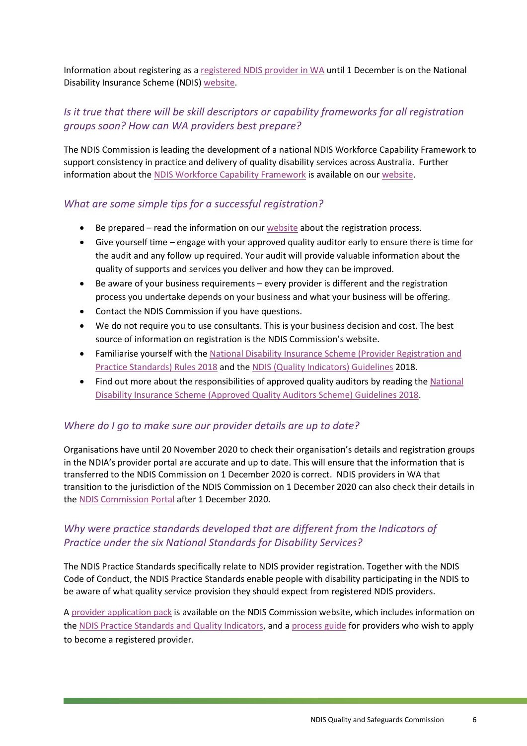Information about registering as a [registered NDIS provider in WA](https://www.ndis.gov.au/providers/becoming-ndis-provider/how-register/registering-provider-wa) until 1 December is on the National Disability Insurance Scheme (NDIS) [website.](https://www.ndis.gov.au/)

### *Is it true that there will be skill descriptors or capability frameworks for all registration groups soon? How can WA providers best prepare?*

The NDIS Commission is leading the development of a national NDIS Workforce Capability Framework to support consistency in practice and delivery of quality disability services across Australia. Further information about the [NDIS Workforce Capability Framework](https://www.ndiscommission.gov.au/workers/ndis-workforce-capability-framework) is available on ou[r website.](https://www.ndiscommission.gov.au/workers/ndis-workforce-capability-framework)

#### *What are some simple tips for a successful registration?*

- Be prepared read the information on our [website](https://www.ndiscommission.gov.au/providers/registered-provider-requirements) about the registration process.
- Give yourself time engage with your approved quality auditor early to ensure there is time for the audit and any follow up required. Your audit will provide valuable information about the quality of supports and services you deliver and how they can be improved.
- Be aware of your business requirements every provider is different and the registration process you undertake depends on your business and what your business will be offering.
- Contact the NDIS Commission if you have questions.
- We do not require you to use consultants. This is your business decision and cost. The best source of information on registration is the NDIS Commission's website.
- Familiarise yourself with the [National Disability Insurance Scheme \(Provider Registration and](https://www.ndiscommission.gov.au/about/legislation-rules-policies)  [Practice Standards\)](https://www.ndiscommission.gov.au/about/legislation-rules-policies) Rules 2018 and the [NDIS \(Quality Indicators\)](https://www.ndiscommission.gov.au/about/legislation-rules-policies) Guidelines 2018.
- Find out more about the responsibilities of approved quality auditors by reading the [National](https://www.ndiscommission.gov.au/about/legislation-rules-policies)  [Disability Insurance Scheme \(Approved Quality Auditors Scheme\) Guidelines 2018.](https://www.ndiscommission.gov.au/about/legislation-rules-policies)

#### *Where do I go to make sure our provider details are up to date?*

Organisations have until 20 November 2020 to check their organisation's details and registration groups in the NDIA's provider portal are accurate and up to date. This will ensure that the information that is transferred to the NDIS Commission on 1 December 2020 is correct. NDIS providers in WA that transition to the jurisdiction of the NDIS Commission on 1 December 2020 can also check their details in the [NDIS Commission Portal](https://www.ndiscommission.gov.au/providers/ndis-commission-portal) after 1 December 2020.

### *Why were practice standards developed that are different from the Indicators of Practice under the six National Standards for Disability Services?*

The NDIS Practice Standards specifically relate to NDIS provider registration. Together with the [NDIS](https://www.ndiscommission.gov.au/providers/ndis-code-conduct)  [Code of Conduct,](https://www.ndiscommission.gov.au/providers/ndis-code-conduct) the NDIS Practice Standards enable people with disability participating in the NDIS to be aware of what quality service provision they should expect from registered NDIS providers.

A [provider application pack](https://www.ndiscommission.gov.au/resources/application-pack) is available on the NDIS Commission website, which includes information on the [NDIS Practice Standards and Quality Indicators,](https://www.ndiscommission.gov.au/document/986) and a [process guide](https://www.ndiscommission.gov.au/document/991) for providers who wish to apply to become a registered provider.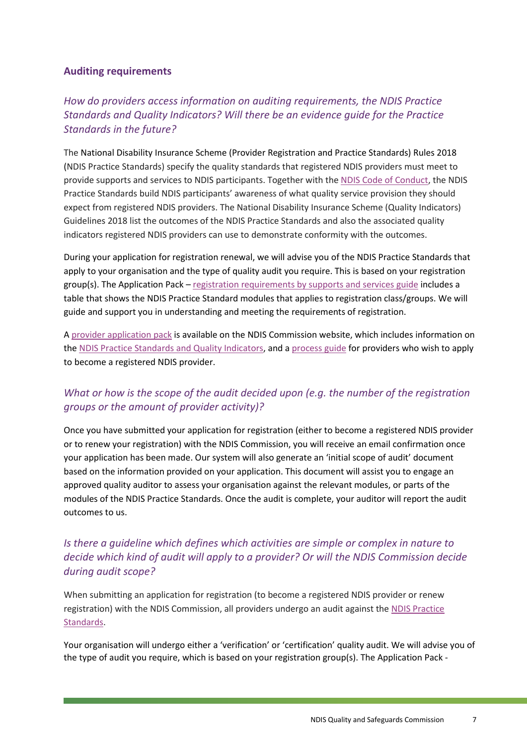#### <span id="page-6-0"></span>**Auditing requirements**

### *How do providers access information on auditing requirements, the NDIS Practice Standards and Quality Indicators? Will there be an evidence guide for the Practice Standards in the future?*

The National Disability Insurance Scheme (Provider Registration and Practice Standards) Rules 2018 (NDIS Practice Standards) specify the quality standards that registered NDIS providers must meet to provide supports and services to NDIS participants. Together with the [NDIS Code of Conduct,](https://www.ndiscommission.gov.au/providers/ndis-code-conduct) the NDIS Practice Standards build NDIS participants' awareness of what quality service provision they should expect from registered NDIS providers. The National Disability Insurance Scheme (Quality Indicators) Guidelines 2018 list the outcomes of the NDIS Practice Standards and also the associated quality indicators registered NDIS providers can use to demonstrate conformity with the outcomes.

During your application for registration renewal, we will advise you of the NDIS Practice Standards that apply to your organisation and the type of quality audit you require. This is based on your registration group(s). The Application Pack – [registration requirements by supports and services guide](https://www.ndiscommission.gov.au/document/1006) includes a table that shows the NDIS Practice Standard modules that applies to registration class/groups. We will guide and support you in understanding and meeting the requirements of registration.

A [provider application pack](https://www.ndiscommission.gov.au/resources/application-pack) is available on the NDIS Commission website, which includes information on the [NDIS Practice Standards and Quality Indicators,](https://www.ndiscommission.gov.au/document/986) and a [process guide](https://www.ndiscommission.gov.au/document/991) for providers who wish to apply to become a registered NDIS provider.

### *What or how is the scope of the audit decided upon (e.g. the number of the registration groups or the amount of provider activity)?*

Once you have submitted your application for registration (either to become a registered NDIS provider or to renew your registration) with the NDIS Commission, you will receive an email confirmation once your application has been made. Our system will also generate an 'initial scope of audit' document based on the information provided on your application. This document will assist you to engage an approved quality auditor to assess your organisation against the relevant modules, or parts of the modules of the NDIS Practice Standards. Once the audit is complete, your auditor will report the audit outcomes to us.

### *Is there a guideline which defines which activities are simple or complex in nature to decide which kind of audit will apply to a provider? Or will the NDIS Commission decide during audit scope?*

When submitting an application for registration (to become a registered NDIS provider or renew registration) with the NDIS Commission, all providers undergo an audit against the [NDIS Practice](https://www.ndiscommission.gov.au/providers/ndis-practice-standards)  [Standards.](https://www.ndiscommission.gov.au/providers/ndis-practice-standards)

Your organisation will undergo either a 'verification' or 'certification' quality audit. We will advise you of the type of audit you require, which is based on your registration group(s). The Application Pack -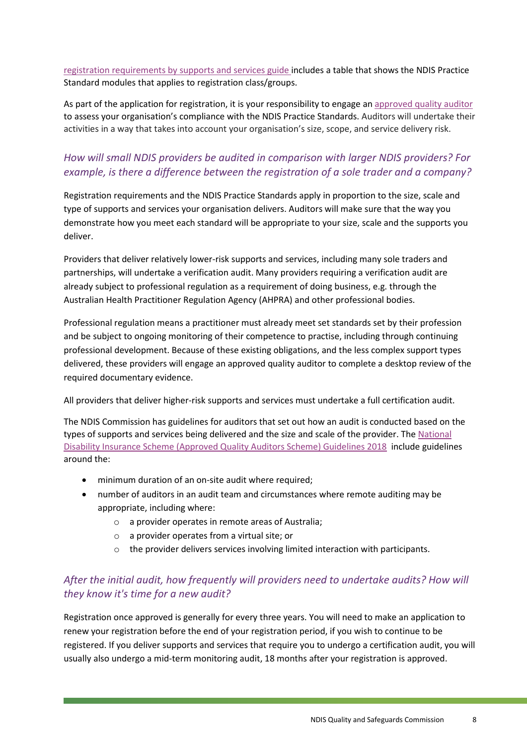[registration requirements by supports and services guide](https://www.ndiscommission.gov.au/document/1006) includes a table that shows the NDIS Practice Standard modules that applies to registration class/groups.

As part of the application for registration, it is your responsibility to engage a[n approved quality auditor](https://www.ndiscommission.gov.au/resources/ndis-provider-register/auditors) to assess your organisation's compliance with the NDIS Practice Standards. Auditors will undertake their activities in a way that takes into account your organisation's size, scope, and service delivery risk.

### *How will small NDIS providers be audited in comparison with larger NDIS providers? For example, is there a difference between the registration of a sole trader and a company?*

Registration requirements and the NDIS Practice Standards apply in proportion to the size, scale and type of supports and services your organisation delivers. Auditors will make sure that the way you demonstrate how you meet each standard will be appropriate to your size, scale and the supports you deliver.

Providers that deliver relatively lower-risk supports and services, including many sole traders and partnerships, will undertake a verification audit. Many providers requiring a verification audit are already subject to professional regulation as a requirement of doing business, e.g. through the Australian Health Practitioner Regulation Agency (AHPRA) and other professional bodies.

Professional regulation means a practitioner must already meet set standards set by their profession and be subject to ongoing monitoring of their competence to practise, including through continuing professional development. Because of these existing obligations, and the less complex support types delivered, these providers will engage an approved quality auditor to complete a desktop review of the required documentary evidence.

All providers that deliver higher-risk supports and services must undertake a full certification audit.

The NDIS Commission has guidelines for auditors that set out how an audit is conducted based on the types of supports and services being delivered and the size and scale of the provider. The [National](https://www.ndiscommission.gov.au/about/legislation-rules-policies)  [Disability Insurance Scheme \(Approved Quality Auditors](https://www.ndiscommission.gov.au/about/legislation-rules-policies) Scheme) Guidelines 2018 include guidelines around the:

- minimum duration of an on-site audit where required;
- number of auditors in an audit team and circumstances where remote auditing may be appropriate, including where:
	- o a provider operates in remote areas of Australia;
	- o a provider operates from a virtual site; or
	- $\circ$  the provider delivers services involving limited interaction with participants.

### *After the initial audit, how frequently will providers need to undertake audits? How will they know it's time for a new audit?*

Registration once approved is generally for every three years. You will need to make an application to renew your registration before the end of your registration period, if you wish to continue to be registered. If you deliver supports and services that require you to undergo a certification audit, you will usually also undergo a mid-term monitoring audit, 18 months after your registration is approved.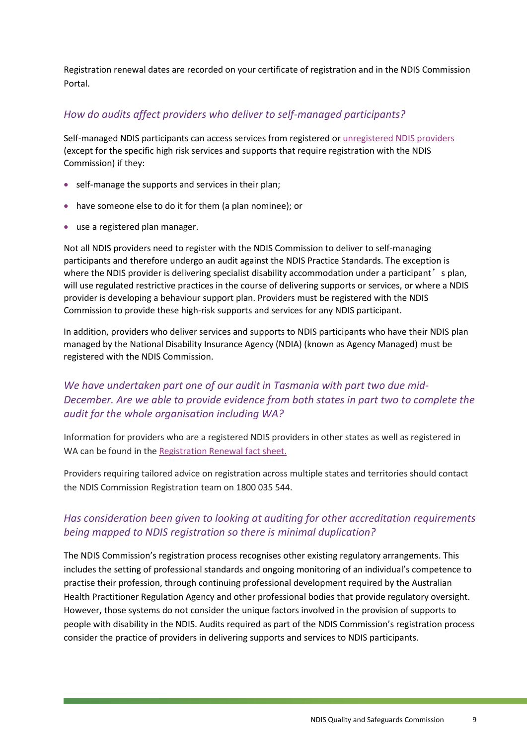Registration renewal dates are recorded on your certificate of registration and in the NDIS Commission Portal.

### *How do audits affect providers who deliver to self-managed participants?*

Self-managed NDIS participants can access services from registered o[r unregistered NDIS providers](https://www.ndiscommission.gov.au/providers/unregistered-providers) (except for the specific high risk services and supports that require registration with the NDIS Commission) if they:

- self-manage the supports and services in their plan;
- have someone else to do it for them (a plan nominee); or
- use a registered plan manager.

Not all NDIS providers need to register with the NDIS Commission to deliver to self-managing participants and therefore undergo an audit against the NDIS Practice Standards. The exception is where the NDIS provider is delivering specialist disability accommodation under a participant's plan, will use regulated restrictive practices in the course of delivering supports or services, or where a NDIS provider is developing a behaviour support plan. Providers must be registered with the NDIS Commission to provide these high-risk supports and services for any NDIS participant.

In addition, providers who deliver services and supports to NDIS participants who have their NDIS plan managed by the National Disability Insurance Agency (NDIA) (known as Agency Managed) must be registered with the NDIS Commission.

### *We have undertaken part one of our audit in Tasmania with part two due mid-December. Are we able to provide evidence from both states in part two to complete the audit for the whole organisation including WA?*

Information for providers who are a registered NDIS providers in other states as well as registered in WA can be found in the [Registration Renewal fact sheet.](https://www.ndiscommission.gov.au/sites/default/files/documents/2020-06/registration-renewal-factsheet-ov-june-2020.pdf)

Providers requiring tailored advice on registration across multiple states and territories should contact the NDIS Commission Registration team on 1800 035 544.

### *Has consideration been given to looking at auditing for other accreditation requirements being mapped to NDIS registration so there is minimal duplication?*

The NDIS Commission's registration process recognises other existing regulatory arrangements. This includes the setting of professional standards and ongoing monitoring of an individual's competence to practise their profession, through continuing professional development required by the Australian Health Practitioner Regulation Agency and other professional bodies that provide regulatory oversight. However, those systems do not consider the unique factors involved in the provision of supports to people with disability in the NDIS. Audits required as part of the NDIS Commission's registration process consider the practice of providers in delivering supports and services to NDIS participants.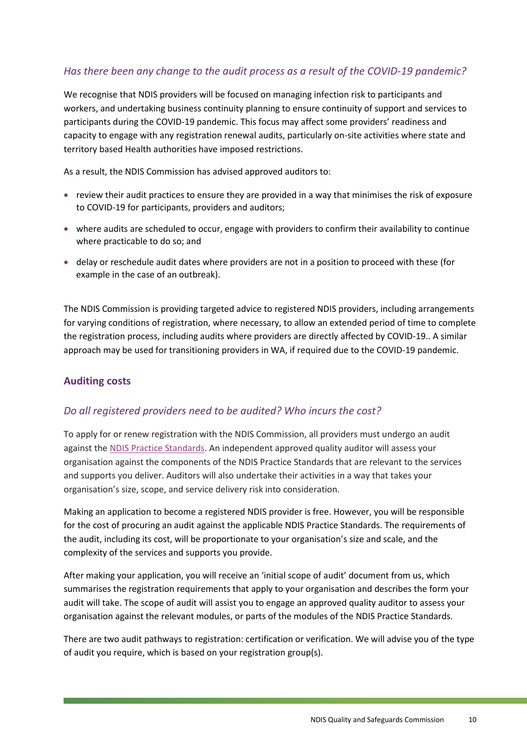### *Has there been any change to the audit process as a result of the COVID-19 pandemic?*

We recognise that NDIS providers will be focused on managing infection risk to participants and workers, and undertaking business continuity planning to ensure continuity of support and services to participants during the COVID-19 pandemic. This focus may affect some providers' readiness and capacity to engage with any registration renewal audits, particularly on-site activities where state and territory based Health authorities have imposed restrictions.

As a result, the NDIS Commission has advised approved auditors to:

- review their audit practices to ensure they are provided in a way that minimises the risk of exposure to COVID-19 for participants, providers and auditors;
- where audits are scheduled to occur, engage with providers to confirm their availability to continue where practicable to do so; and
- delay or reschedule audit dates where providers are not in a position to proceed with these (for example in the case of an outbreak).

The NDIS Commission is providing targeted advice to registered NDIS providers, including arrangements for varying conditions of registration, where necessary, to allow an extended period of time to complete the registration process, including audits where providers are directly affected by COVID-19.. A similar approach may be used for transitioning providers in WA, if required due to the COVID-19 pandemic.

#### <span id="page-9-0"></span>**Auditing costs**

#### *Do all registered providers need to be audited? Who incurs the cost?*

To apply for or renew registration with the NDIS Commission, all providers must undergo an audit against the [NDIS Practice Standards.](https://www.ndiscommission.gov.au/providers/ndis-practice-standards) An independent approved quality auditor will assess your organisation against the components of the NDIS Practice Standards that are relevant to the services and supports you deliver. Auditors will also undertake their activities in a way that takes your organisation's size, scope, and service delivery risk into consideration.

Making an application to become a registered NDIS provider is free. However, you will be responsible for the cost of procuring an audit against the applicable NDIS Practice Standards. The requirements of the audit, including its cost, will be proportionate to your organisation's size and scale, and the complexity of the services and supports you provide.

After making your application, you will receive an 'initial scope of audit' document from us, which summarises the registration requirements that apply to your organisation and describes the form your audit will take. The scope of audit will assist you to engage an approved quality auditor to assess your organisation against the relevant modules, or parts of the modules of the NDIS Practice Standards.

There are two audit pathways to registration: certification or verification. We will advise you of the type of audit you require, which is based on your registration group(s).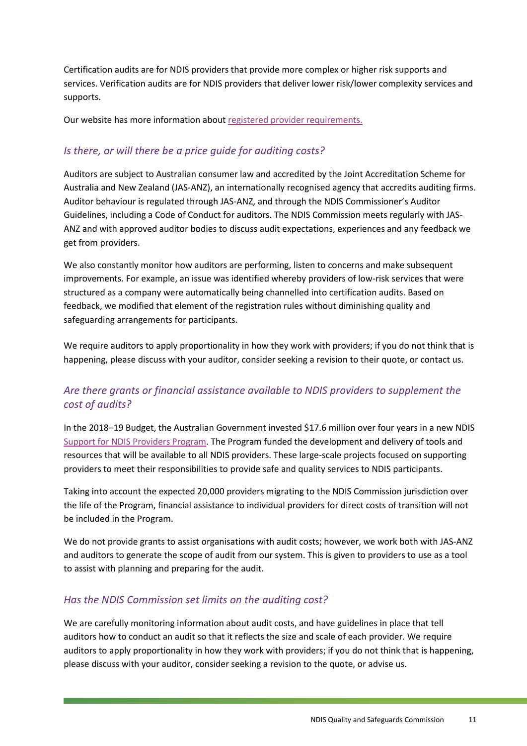Certification audits are for NDIS providers that provide more complex or higher risk supports and services. Verification audits are for NDIS providers that deliver lower risk/lower complexity services and supports.

Our website has more information abou[t registered provider requirements.](https://www.ndiscommission.gov.au/providers/registered-provider-requirements)

### *Is there, or will there be a price guide for auditing costs?*

Auditors are subject to Australian consumer law and accredited by the Joint Accreditation Scheme for Australia and New Zealand (JAS-ANZ), an internationally recognised agency that accredits auditing firms. Auditor behaviour is regulated through JAS-ANZ, and through the NDIS Commissioner's Auditor Guidelines, including a Code of Conduct for auditors. The NDIS Commission meets regularly with JAS-ANZ and with approved auditor bodies to discuss audit expectations, experiences and any feedback we get from providers.

We also constantly monitor how auditors are performing, listen to concerns and make subsequent improvements. For example, an issue was identified whereby providers of low-risk services that were structured as a company were automatically being channelled into certification audits. Based on feedback, we modified that element of the registration rules without diminishing quality and safeguarding arrangements for participants.

We require auditors to apply proportionality in how they work with providers; if you do not think that is happening, please discuss with your auditor, consider seeking a revision to their quote, or contact us.

### *Are there grants or financial assistance available to NDIS providers to supplement the cost of audits?*

In the 2018–19 Budget, the Australian Government invested \$17.6 million over four years in a new NDIS [Support for NDIS Providers Program.](https://www.ndiscommission.gov.au/support-ndis-providers) The Program funded the development and delivery of tools and resources that will be available to all NDIS providers. These large-scale projects focused on supporting providers to meet their responsibilities to provide safe and quality services to NDIS participants.

Taking into account the expected 20,000 providers migrating to the NDIS Commission jurisdiction over the life of the Program, financial assistance to individual providers for direct costs of transition will not be included in the Program.

We do not provide grants to assist organisations with audit costs; however, we work both with JAS-ANZ and auditors to generate the scope of audit from our system. This is given to providers to use as a tool to assist with planning and preparing for the audit.

### *Has the NDIS Commission set limits on the auditing cost?*

We are carefully monitoring information about audit costs, and have guidelines in place that tell auditors how to conduct an audit so that it reflects the size and scale of each provider. We require auditors to apply proportionality in how they work with providers; if you do not think that is happening, please discuss with your auditor, consider seeking a revision to the quote, or advise us.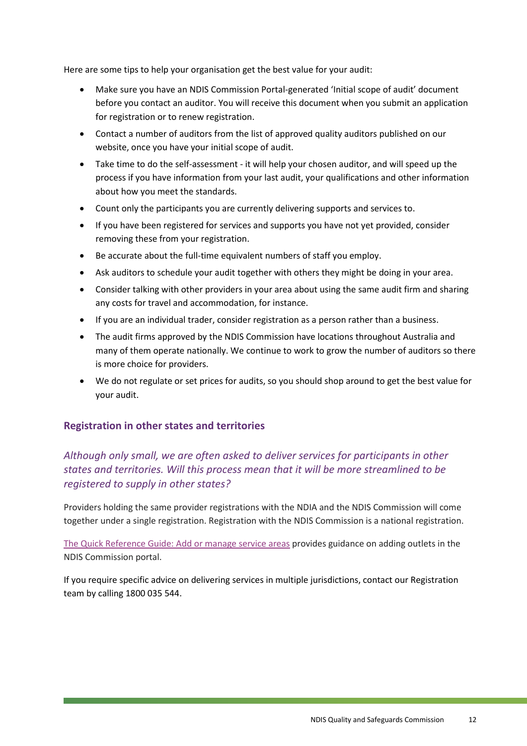Here are some tips to help your organisation get the best value for your audit:

- Make sure you have an NDIS Commission Portal-generated 'Initial scope of audit' document before you contact an auditor. You will receive this document when you submit an application for registration or to renew registration.
- Contact a number of auditors from the list of approved quality auditors published on our website, once you have your initial scope of audit.
- Take time to do the self-assessment it will help your chosen auditor, and will speed up the process if you have information from your last audit, your qualifications and other information about how you meet the standards.
- Count only the participants you are currently delivering supports and services to.
- If you have been registered for services and supports you have not yet provided, consider removing these from your registration.
- Be accurate about the full-time equivalent numbers of staff you employ.
- Ask auditors to schedule your audit together with others they might be doing in your area.
- Consider talking with other providers in your area about using the same audit firm and sharing any costs for travel and accommodation, for instance.
- If you are an individual trader, consider registration as a person rather than a business.
- The audit firms approved by the NDIS Commission have locations throughout Australia and many of them operate nationally. We continue to work to grow the number of auditors so there is more choice for providers.
- We do not regulate or set prices for audits, so you should shop around to get the best value for your audit.

#### <span id="page-11-0"></span>**Registration in other states and territories**

### *Although only small, we are often asked to deliver services for participants in other states and territories. Will this process mean that it will be more streamlined to be registered to supply in other states?*

Providers holding the same provider registrations with the NDIA and the NDIS Commission will come together under a single registration. Registration with the NDIS Commission is a national registration.

[The Quick Reference Guide: Add or manage service areas](https://www.ndiscommission.gov.au/document/686) provides guidance on adding outlets in the NDIS Commission portal.

If you require specific advice on delivering services in multiple jurisdictions, contact our Registration team by calling 1800 035 544.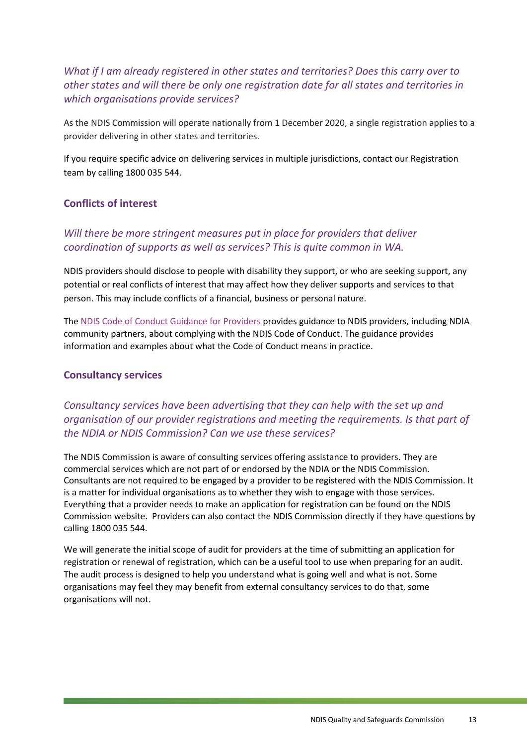### *What if I am already registered in other states and territories? Does this carry over to other states and will there be only one registration date for all states and territories in which organisations provide services?*

As the NDIS Commission will operate nationally from 1 December 2020, a single registration applies to a provider delivering in other states and territories.

If you require specific advice on delivering services in multiple jurisdictions, contact our Registration team by calling 1800 035 544.

#### <span id="page-12-0"></span>**Conflicts of interest**

### *Will there be more stringent measures put in place for providers that deliver coordination of supports as well as services? This is quite common in WA.*

NDIS providers should disclose to people with disability they support, or who are seeking support, any potential or real conflicts of interest that may affect how they deliver supports and services to that person. This may include conflicts of a financial, business or personal nature.

The [NDIS Code of Conduct Guidance for Providers](https://www.ndiscommission.gov.au/document/566) provides guidance to NDIS providers, including NDIA community partners, about complying with the NDIS Code of Conduct. The guidance provides information and examples about what the Code of Conduct means in practice.

#### <span id="page-12-1"></span>**Consultancy services**

### *Consultancy services have been advertising that they can help with the set up and organisation of our provider registrations and meeting the requirements. Is that part of the NDIA or NDIS Commission? Can we use these services?*

The NDIS Commission is aware of consulting services offering assistance to providers. They are commercial services which are not part of or endorsed by the NDIA or the NDIS Commission. Consultants are not required to be engaged by a provider to be registered with the NDIS Commission. It is a matter for individual organisations as to whether they wish to engage with those services. Everything that a provider needs to make an application for registration can be found on the NDIS Commission website. Providers can also contact the NDIS Commission directly if they have questions by calling 1800 035 544.

We will generate the initial scope of audit for providers at the time of submitting an application for registration or renewal of registration, which can be a useful tool to use when preparing for an audit. The audit process is designed to help you understand what is going well and what is not. Some organisations may feel they may benefit from external consultancy services to do that, some organisations will not.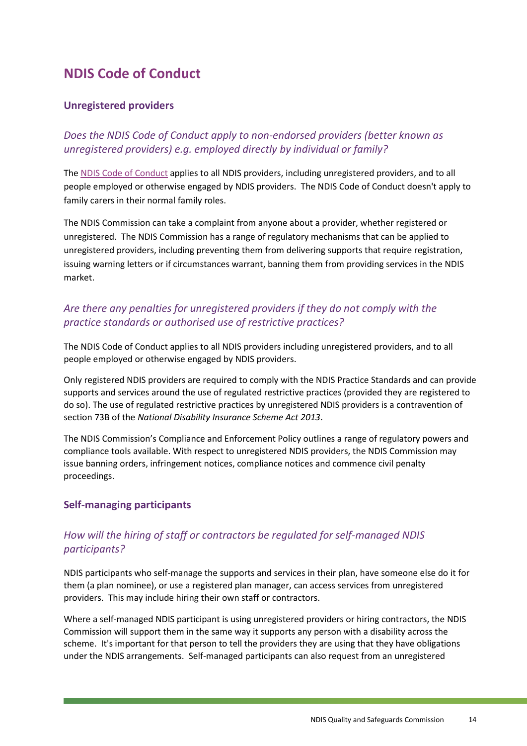# <span id="page-13-0"></span>**NDIS Code of Conduct**

#### <span id="page-13-1"></span>**Unregistered providers**

*Does the NDIS Code of Conduct apply to non-endorsed providers (better known as unregistered providers) e.g. employed directly by individual or family?*

The [NDIS Code of Conduct](https://www.ndiscommission.gov.au/providers/provider-responsibilities/ndis-code-conduct) applies to all NDIS providers, including unregistered providers, and to all people employed or otherwise engaged by NDIS providers. The NDIS Code of Conduct doesn't apply to family carers in their normal family roles.

The NDIS Commission can take a complaint from anyone about a provider, whether registered or unregistered. The NDIS Commission has a range of regulatory mechanisms that can be applied to unregistered providers, including preventing them from delivering supports that require registration, issuing warning letters or if circumstances warrant, banning them from providing services in the NDIS market.

### *Are there any penalties for unregistered providers if they do not comply with the practice standards or authorised use of restrictive practices?*

The NDIS Code of Conduct applies to all NDIS providers including unregistered providers, and to all people employed or otherwise engaged by NDIS providers.

Only registered NDIS providers are required to comply with the NDIS Practice Standards and can provide supports and services around the use of regulated restrictive practices (provided they are registered to do so). The use of regulated restrictive practices by unregistered NDIS providers is a contravention of section 73B of the *National Disability Insurance Scheme Act 2013*.

The NDIS Commission's Compliance and Enforcement Policy outlines a range of regulatory powers and compliance tools available. With respect to unregistered NDIS providers, the NDIS Commission may issue banning orders, infringement notices, compliance notices and commence civil penalty proceedings.

### <span id="page-13-2"></span>**Self-managing participants**

### *How will the hiring of staff or contractors be regulated for self-managed NDIS participants?*

NDIS participants who self-manage the supports and services in their plan, have someone else do it for them (a plan nominee), or use a registered plan manager, can access services from unregistered providers. This may include hiring their own staff or contractors.

Where a self-managed NDIS participant is using unregistered providers or hiring contractors, the NDIS Commission will support them in the same way it supports any person with a disability across the scheme. It's important for that person to tell the providers they are using that they have obligations under the NDIS arrangements. Self-managed participants can also request from an unregistered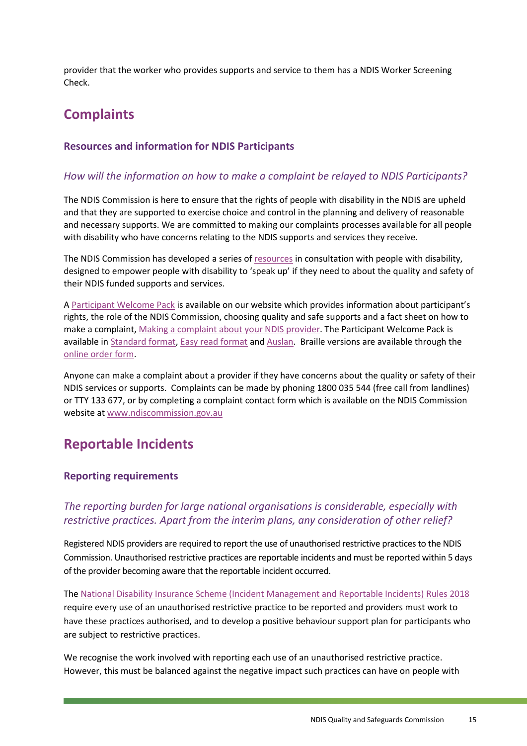provider that the worker who provides supports and service to them has a NDIS Worker Screening Check.

# <span id="page-14-0"></span>**Complaints**

#### <span id="page-14-1"></span>**Resources and information for NDIS Participants**

#### *How will the information on how to make a complaint be relayed to NDIS Participants?*

The NDIS Commission is here to ensure that the rights of people with disability in the NDIS are upheld and that they are supported to exercise choice and control in the planning and delivery of reasonable and necessary supports. We are committed to making our complaints processes available for all people with disability who have concerns relating to the NDIS supports and services they receive.

The NDIS Commission has developed a series of [resources](https://www.ndiscommission.gov.au/resources/speakup) in consultation with people with disability, designed to empower people with disability to 'speak up' if they need to about the quality and safety of their NDIS funded supports and services.

A [Participant Welcome Pack](https://www.ndiscommission.gov.au/document/1336) is available on our website which provides information about participant's rights, the role of the NDIS Commission, choosing quality and safe supports and a fact sheet on how to make a complaint, [Making a complaint about your NDIS provider.](https://www.ndiscommission.gov.au/participants/more-information/participantpack/standardformat) The Participant Welcome Pack is available in **Standard format, [Easy read format](https://www.ndiscommission.gov.au/participants/more-information/participantpack/easyreadformat) and Auslan**. Braille versions are available through the [online order form.](https://www.ndiscommission.gov.au/participantpackonlineform)

Anyone can make a complaint about a provider if they have concerns about the quality or safety of their NDIS services or supports. Complaints can be made by phoning 1800 035 544 (free call from landlines) or TTY 133 677, or by completing a complaint contact form which is available on the NDIS Commission website at [www.ndiscommission.gov.au](http://www.ndiscommission.gov.au/)

## <span id="page-14-2"></span>**Reportable Incidents**

#### <span id="page-14-3"></span>**Reporting requirements**

#### *The reporting burden for large national organisations is considerable, especially with restrictive practices. Apart from the interim plans, any consideration of other relief?*

Registered NDIS providers are required to report the use of unauthorised restrictive practices to the NDIS Commission. Unauthorised restrictive practices are reportable incidents and must be reported within 5 days of the provider becoming aware that the reportable incident occurred.

The [National Disability Insurance Scheme \(Incident Management and Reportable Incidents\)](https://www.ndiscommission.gov.au/about/legislation-rules-policies) Rules 2018 require every use of an unauthorised restrictive practice to be reported and providers must work to have these practices authorised, and to develop a positive behaviour support plan for participants who are subject to restrictive practices.

We recognise the work involved with reporting each use of an unauthorised restrictive practice. However, this must be balanced against the negative impact such practices can have on people with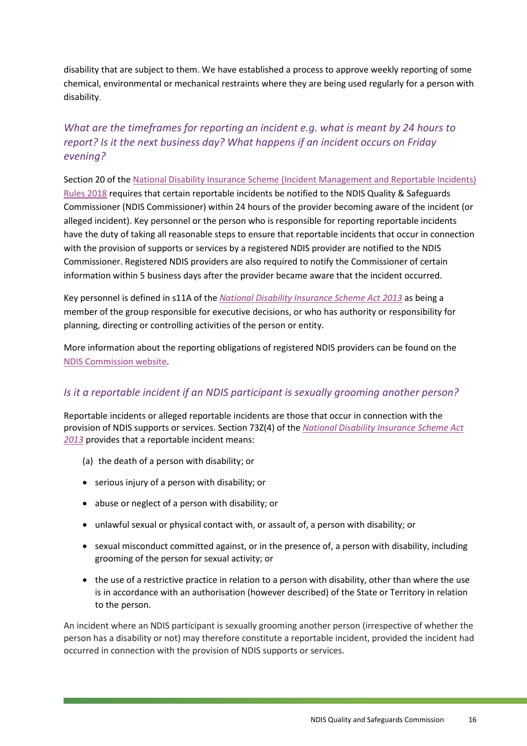disability that are subject to them. We have established a process to approve weekly reporting of some chemical, environmental or mechanical restraints where they are being used regularly for a person with disability.

### *What are the timeframes for reporting an incident e.g. what is meant by 24 hours to report? Is it the next business day? What happens if an incident occurs on Friday evening?*

Section 20 of the [National Disability Insurance Scheme \(Incident Management and Reportable Incidents\)](https://www.ndiscommission.gov.au/about/legislation-rules-policies)  [Rules 2018](https://www.ndiscommission.gov.au/about/legislation-rules-policies) requires that certain reportable incidents be notified to the NDIS Quality & Safeguards Commissioner (NDIS Commissioner) within 24 hours of the provider becoming aware of the incident (or alleged incident). Key personnel or the person who is responsible for reporting reportable incidents have the duty of taking all reasonable steps to ensure that reportable incidents that occur in connection with the provision of supports or services by a registered NDIS provider are notified to the NDIS Commissioner. Registered NDIS providers are also required to notify the Commissioner of certain information within 5 business days after the provider became aware that the incident occurred.

Key personnel is defined in s11A of the *[National Disability Insurance Scheme Act 2013](https://www.ndiscommission.gov.au/about/legislation-rules-policies)* as being a member of the group responsible for executive decisions, or who has authority or responsibility for planning, directing or controlling activities of the person or entity.

More information about the reporting obligations of registered NDIS providers can be found on the [NDIS Commission website.](https://www.ndiscommission.gov.au/providers/incident-management-and-reportable-incidents)

#### *Is it a reportable incident if an NDIS participant is sexually grooming another person?*

Reportable incidents or alleged reportable incidents are those that occur in connection with the provision of NDIS supports or services. Section 73Z(4) of the *[National Disability Insurance Scheme Act](https://www.ndiscommission.gov.au/about/legislation-rules-policies)  [2013](https://www.ndiscommission.gov.au/about/legislation-rules-policies)* provides that a reportable incident means:

- (a) the death of a person with disability; or
- serious injury of a person with disability; or
- abuse or neglect of a person with disability; or
- unlawful sexual or physical contact with, or assault of, a person with disability; or
- sexual misconduct committed against, or in the presence of, a person with disability, including grooming of the person for sexual activity; or
- the use of a restrictive practice in relation to a person with disability, other than where the use is in accordance with an authorisation (however described) of the State or Territory in relation to the person.

An incident where an NDIS participant is sexually grooming another person (irrespective of whether the person has a disability or not) may therefore constitute a reportable incident, provided the incident had occurred in connection with the provision of NDIS supports or services.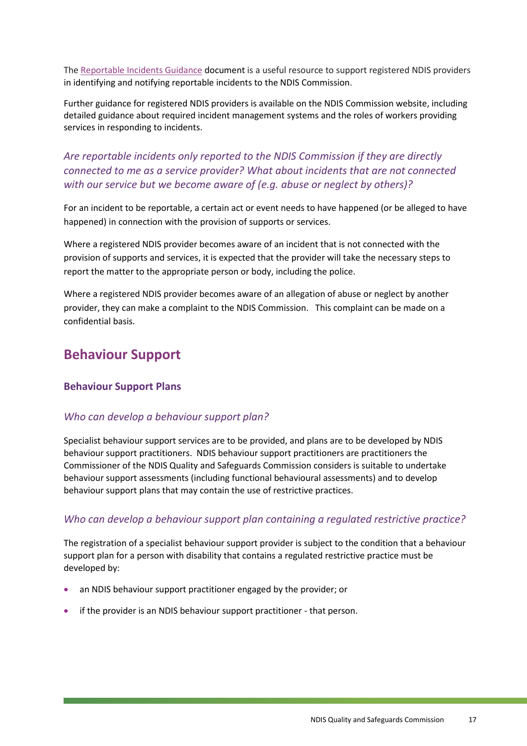The [Reportable Incidents Guidance](https://www.ndiscommission.gov.au/document/596) document is a useful resource to support registered NDIS providers in identifying and notifying reportable incidents to the NDIS Commission.

Further guidance for registered NDIS providers is available on the NDIS Commission website, including detailed guidance about required incident management systems and the roles of workers providing services in responding to incidents.

### *Are reportable incidents only reported to the NDIS Commission if they are directly connected to me as a service provider? What about incidents that are not connected with our service but we become aware of (e.g. abuse or neglect by others)?*

For an incident to be reportable, a certain act or event needs to have happened (or be alleged to have happened) in connection with the provision of supports or services.

Where a registered NDIS provider becomes aware of an incident that is not connected with the provision of supports and services, it is expected that the provider will take the necessary steps to report the matter to the appropriate person or body, including the police.

Where a registered NDIS provider becomes aware of an allegation of abuse or neglect by another provider, they can make a complaint to the NDIS Commission. This complaint can be made on a confidential basis.

# <span id="page-16-0"></span>**Behaviour Support**

#### <span id="page-16-1"></span>**Behaviour Support Plans**

#### *Who can develop a behaviour support plan?*

Specialist behaviour support services are to be provided, and plans are to be developed by NDIS behaviour support practitioners. NDIS behaviour support practitioners are practitioners the Commissioner of the NDIS Quality and Safeguards Commission considers is suitable to undertake behaviour support assessments (including functional behavioural assessments) and to develop behaviour support plans that may contain the use of restrictive practices.

#### *Who can develop a behaviour support plan containing a regulated restrictive practice?*

The registration of a specialist behaviour support provider is subject to the condition that a behaviour support plan for a person with disability that contains a regulated restrictive practice must be developed by:

- an NDIS behaviour support practitioner engaged by the provider; or
- if the provider is an NDIS behaviour support practitioner that person.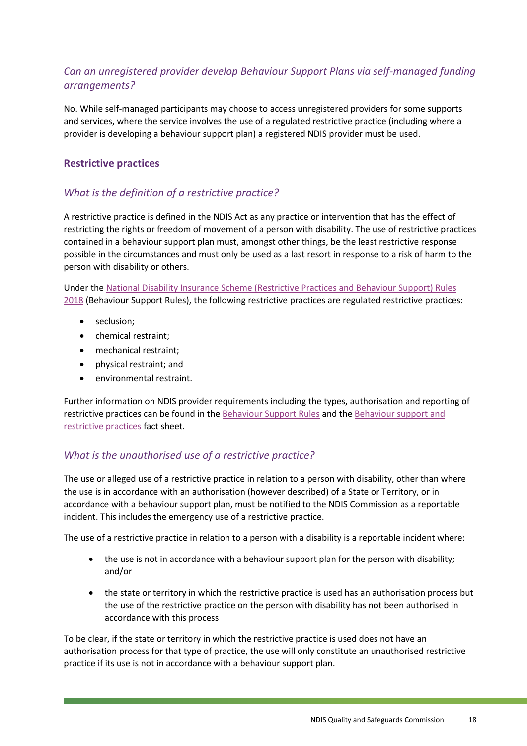### *Can an unregistered provider develop Behaviour Support Plans via self-managed funding arrangements?*

No. While self-managed participants may choose to access unregistered providers for some supports and services, where the service involves the use of a regulated restrictive practice (including where a provider is developing a behaviour support plan) a registered NDIS provider must be used.

#### <span id="page-17-0"></span>**Restrictive practices**

### *What is the definition of a restrictive practice?*

A restrictive practice is defined in the NDIS Act as any practice or intervention that has the effect of restricting the rights or freedom of movement of a person with disability. The use of restrictive practices contained in a behaviour support plan must, amongst other things, be the least restrictive response possible in the circumstances and must only be used as a last resort in response to a risk of harm to the person with disability or others.

Under the [National Disability Insurance Scheme \(Restrictive Practices and Behaviour Support\) Rules](https://www.legislation.gov.au/Details/F2018L00632)  [2018](https://www.legislation.gov.au/Details/F2018L00632) (Behaviour Support Rules), the following restrictive practices are regulated restrictive practices:

- seclusion;
- chemical restraint;
- mechanical restraint;
- physical restraint; and
- environmental restraint.

Further information on NDIS provider requirements including the types, authorisation and reporting of restrictive practices can be found in the [Behaviour Support Rules](https://www.ndiscommission.gov.au/about/legislation-rules-policies) and th[e Behaviour support and](https://www.ndiscommission.gov.au/document/2236)  [restrictive practices](https://www.ndiscommission.gov.au/document/2236) fact sheet.

#### *What is the unauthorised use of a restrictive practice?*

The use or alleged use of a restrictive practice in relation to a person with disability, other than where the use is in accordance with an authorisation (however described) of a State or Territory, or in accordance with a behaviour support plan, must be notified to the NDIS Commission as a reportable incident. This includes the emergency use of a restrictive practice.

The use of a restrictive practice in relation to a person with a disability is a reportable incident where:

- the use is not in accordance with a behaviour support plan for the person with disability; and/or
- the state or territory in which the restrictive practice is used has an authorisation process but the use of the restrictive practice on the person with disability has not been authorised in accordance with this process

To be clear, if the state or territory in which the restrictive practice is used does not have an authorisation process for that type of practice, the use will only constitute an unauthorised restrictive practice if its use is not in accordance with a behaviour support plan.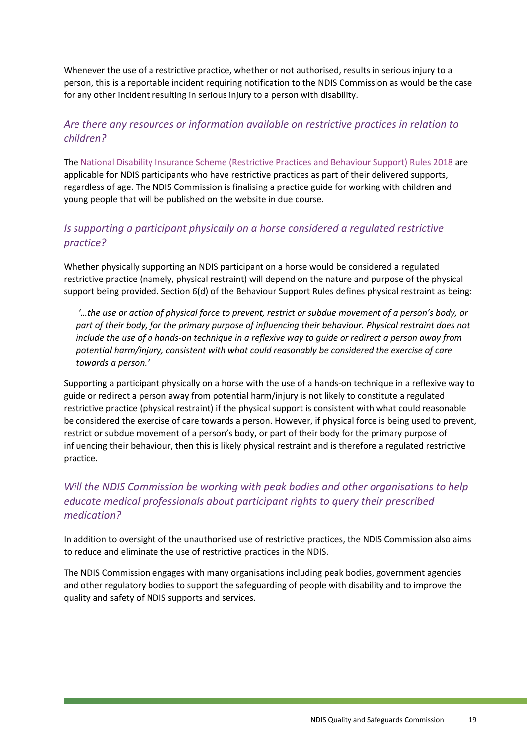Whenever the use of a restrictive practice, whether or not authorised, results in serious injury to a person, this is a reportable incident requiring notification to the NDIS Commission as would be the case for any other incident resulting in serious injury to a person with disability.

#### *Are there any resources or information available on restrictive practices in relation to children?*

The [National Disability Insurance Scheme \(Restrictive Practices and Behaviour Support\) Rules 2018](https://www.legislation.gov.au/Details/F2018L00632) are applicable for NDIS participants who have restrictive practices as part of their delivered supports, regardless of age. The NDIS Commission is finalising a practice guide for working with children and young people that will be published on the website in due course.

### *Is supporting a participant physically on a horse considered a regulated restrictive practice?*

Whether physically supporting an NDIS participant on a horse would be considered a regulated restrictive practice (namely, physical restraint) will depend on the nature and purpose of the physical support being provided. Section 6(d) of the Behaviour Support Rules defines physical restraint as being:

*'…the use or action of physical force to prevent, restrict or subdue movement of a person's body, or part of their body, for the primary purpose of influencing their behaviour. Physical restraint does not include the use of a hands-on technique in a reflexive way to guide or redirect a person away from potential harm/injury, consistent with what could reasonably be considered the exercise of care towards a person.'*

Supporting a participant physically on a horse with the use of a hands-on technique in a reflexive way to guide or redirect a person away from potential harm/injury is not likely to constitute a regulated restrictive practice (physical restraint) if the physical support is consistent with what could reasonable be considered the exercise of care towards a person. However, if physical force is being used to prevent, restrict or subdue movement of a person's body, or part of their body for the primary purpose of influencing their behaviour, then this is likely physical restraint and is therefore a regulated restrictive practice.

### *Will the NDIS Commission be working with peak bodies and other organisations to help educate medical professionals about participant rights to query their prescribed medication?*

In addition to oversight of the unauthorised use of restrictive practices, the NDIS Commission also aims to reduce and eliminate the use of restrictive practices in the NDIS.

The NDIS Commission engages with many organisations including peak bodies, government agencies and other regulatory bodies to support the safeguarding of people with disability and to improve the quality and safety of NDIS supports and services.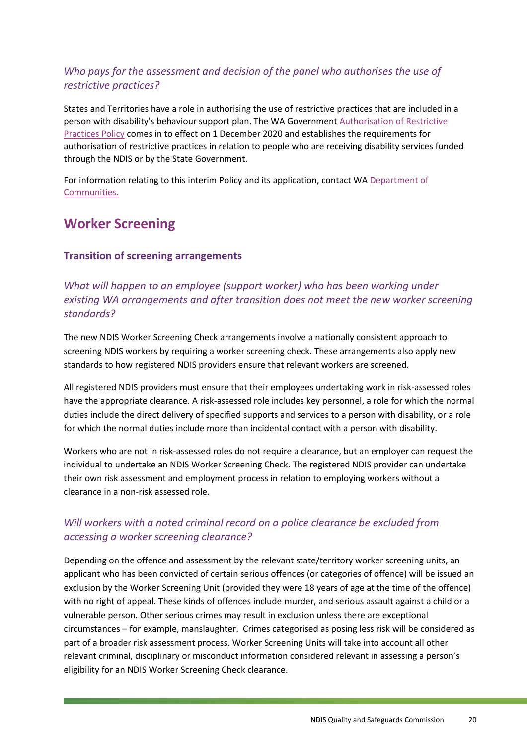### *Who pays for the assessment and decision of the panel who authorises the use of restrictive practices?*

States and Territories have a role in authorising the use of restrictive practices that are included in a person with disability's behaviour support plan. The WA Governmen[t Authorisation of Restrictive](http://disability.wa.gov.au/Documents/Policy-Authorisation-of-Restrictive-Practices-in-Funded-Disability-Services.pdf)  [Practices Policy](http://disability.wa.gov.au/Documents/Policy-Authorisation-of-Restrictive-Practices-in-Funded-Disability-Services.pdf) comes in to effect on 1 December 2020 and establishes the requirements for authorisation of restrictive practices in relation to people who are receiving disability services funded through the NDIS or by the State Government.

For information relating to this interim Policy and its application, contact WA [Department of](http://www.communities.wa.gov.au/)  [Communities.](http://www.communities.wa.gov.au/)

# <span id="page-19-0"></span>**Worker Screening**

#### <span id="page-19-1"></span>**Transition of screening arrangements**

### *What will happen to an employee (support worker) who has been working under existing WA arrangements and after transition does not meet the new worker screening standards?*

The new NDIS Worker Screening Check arrangements involve a nationally consistent approach to screening NDIS workers by requiring a worker screening check. These arrangements also apply new standards to how registered NDIS providers ensure that relevant workers are screened.

All registered NDIS providers must ensure that their employees undertaking work in risk-assessed roles have the appropriate clearance. A risk-assessed role includes key personnel, a role for which the normal duties include the direct delivery of specified supports and services to a person with disability, or a role for which the normal duties include more than incidental contact with a person with disability.

Workers who are not in risk-assessed roles do not require a clearance, but an employer can request the individual to undertake an NDIS Worker Screening Check. The registered NDIS provider can undertake their own risk assessment and employment process in relation to employing workers without a clearance in a non-risk assessed role.

### *Will workers with a noted criminal record on a police clearance be excluded from accessing a worker screening clearance?*

Depending on the offence and assessment by the relevant state/territory worker screening units, an applicant who has been convicted of certain serious offences (or categories of offence) will be issued an exclusion by the Worker Screening Unit (provided they were 18 years of age at the time of the offence) with no right of appeal. These kinds of offences include murder, and serious assault against a child or a vulnerable person. Other serious crimes may result in exclusion unless there are exceptional circumstances – for example, manslaughter. Crimes categorised as posing less risk will be considered as part of a broader risk assessment process. Worker Screening Units will take into account all other relevant criminal, disciplinary or misconduct information considered relevant in assessing a person's eligibility for an NDIS Worker Screening Check clearance.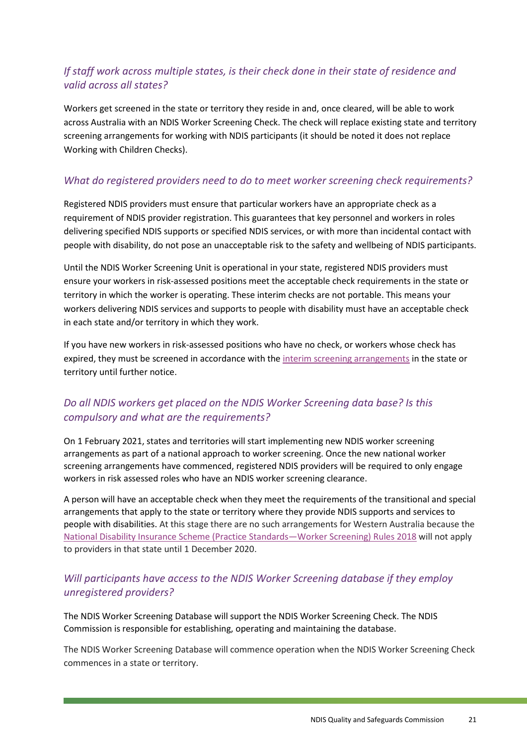### *If staff work across multiple states, is their check done in their state of residence and valid across all states?*

Workers get screened in the state or territory they reside in and, once cleared, will be able to work across Australia with an NDIS Worker Screening Check. The check will replace existing state and territory screening arrangements for working with NDIS participants (it should be noted it does not replace Working with Children Checks).

### *What do registered providers need to do to meet worker screening check requirements?*

Registered NDIS providers must ensure that particular workers have an appropriate check as a requirement of NDIS provider registration. This guarantees that key personnel and workers in roles delivering specified NDIS supports or specified NDIS services, or with more than incidental contact with people with disability, do not pose an unacceptable risk to the safety and wellbeing of NDIS participants.

Until the NDIS Worker Screening Unit is operational in your state, registered NDIS providers must ensure your workers in risk-assessed positions meet the acceptable check requirements in the state or territory in which the worker is operating. These interim checks are not portable. This means your workers delivering NDIS services and supports to people with disability must have an acceptable check in each state and/or territory in which they work.

If you have new workers in risk-assessed positions who have no check, or workers whose check has expired, they must be screened in accordance with the [interim screening arrangements](https://www.ndiscommission.gov.au/providers/provider-responsibilities/worker-screening#06) in the state or territory until further notice.

### *Do all NDIS workers get placed on the NDIS Worker Screening data base? Is this compulsory and what are the requirements?*

On 1 February 2021, states and territories will start implementing new NDIS worker screening arrangements as part of a national approach to worker screening. Once the new national worker screening arrangements have commenced, registered NDIS providers will be required to only engage workers in risk assessed roles who have an NDIS worker screening clearance.

A person will have an acceptable check when they meet the requirements of the transitional and special arrangements that apply to the state or territory where they provide NDIS supports and services to people with disabilities. At this stage there are no such arrangements for Western Australia because the [National Disability Insurance Scheme \(Practice Standards—Worker Screening\) Rules 2018](https://www.ndiscommission.gov.au/about/legislation-rules-policies) will not apply to providers in that state until 1 December 2020.

#### *Will participants have access to the NDIS Worker Screening database if they employ unregistered providers?*

The NDIS Worker Screening Database will support the NDIS Worker Screening Check. The NDIS Commission is responsible for establishing, operating and maintaining the database.

The NDIS Worker Screening Database will commence operation when the NDIS Worker Screening Check commences in a state or territory.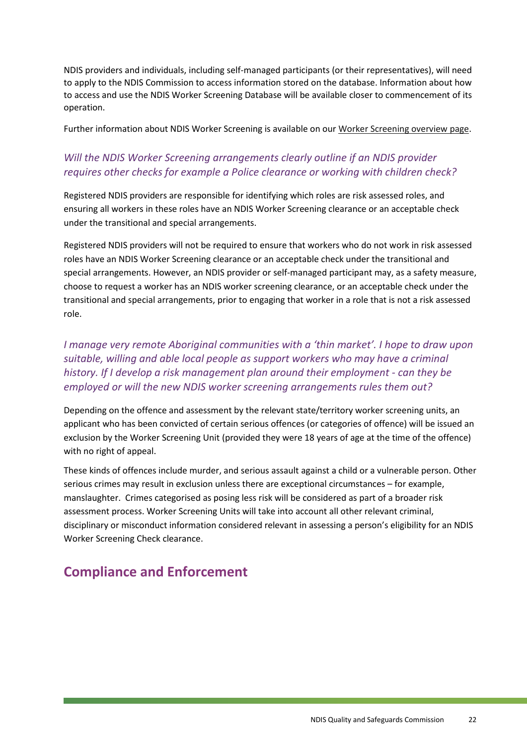NDIS providers and individuals, including self-managed participants (or their representatives), will need to apply to the NDIS Commission to access information stored on the database. Information about how to access and use the NDIS Worker Screening Database will be available closer to commencement of its operation.

Further information about NDIS Worker Screening is available on our [Worker Screening overview page.](https://www.ndiscommission.gov.au/about/ndis-worker-screening-check)

### *Will the NDIS Worker Screening arrangements clearly outline if an NDIS provider requires other checks for example a Police clearance or working with children check?*

Registered NDIS providers are responsible for identifying which roles are risk assessed roles, and ensuring all workers in these roles have an NDIS Worker Screening clearance or an acceptable check under the transitional and special arrangements.

Registered NDIS providers will not be required to ensure that workers who do not work in risk assessed roles have an NDIS Worker Screening clearance or an acceptable check under the transitional and special arrangements. However, an NDIS provider or self-managed participant may, as a safety measure, choose to request a worker has an NDIS worker screening clearance, or an acceptable check under the transitional and special arrangements, prior to engaging that worker in a role that is not a risk assessed role.

### *I manage very remote Aboriginal communities with a 'thin market'. I hope to draw upon suitable, willing and able local people as support workers who may have a criminal history. If I develop a risk management plan around their employment - can they be employed or will the new NDIS worker screening arrangements rules them out?*

Depending on the offence and assessment by the relevant state/territory worker screening units, an applicant who has been convicted of certain serious offences (or categories of offence) will be issued an exclusion by the Worker Screening Unit (provided they were 18 years of age at the time of the offence) with no right of appeal.

These kinds of offences include murder, and serious assault against a child or a vulnerable person. Other serious crimes may result in exclusion unless there are exceptional circumstances – for example, manslaughter. Crimes categorised as posing less risk will be considered as part of a broader risk assessment process. Worker Screening Units will take into account all other relevant criminal, disciplinary or misconduct information considered relevant in assessing a person's eligibility for an NDIS Worker Screening Check clearance.

# <span id="page-21-0"></span>**Compliance and Enforcement**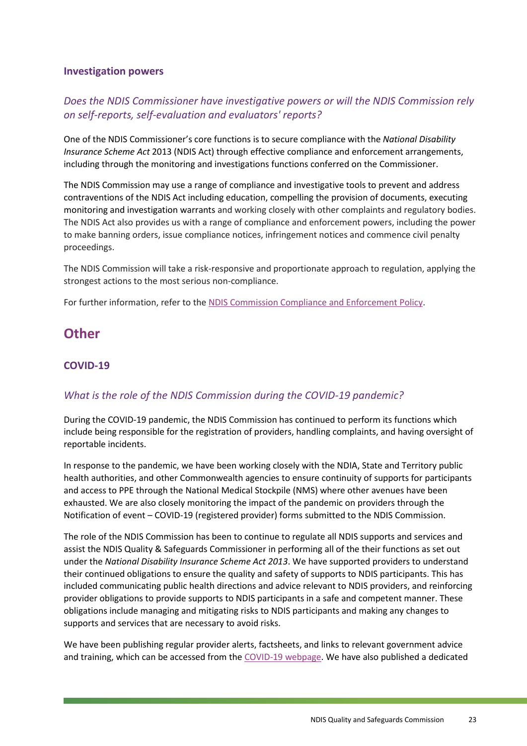#### <span id="page-22-0"></span>**Investigation powers**

### *Does the NDIS Commissioner have investigative powers or will the NDIS Commission rely on self-reports, self-evaluation and evaluators' reports?*

One of the NDIS Commissioner's core functions is to secure compliance with the *National Disability Insurance Scheme Act* 2013 (NDIS Act) through effective compliance and enforcement arrangements, including through the monitoring and investigations functions conferred on the Commissioner.

The NDIS Commission may use a range of compliance and investigative tools to prevent and address contraventions of the NDIS Act including education, compelling the provision of documents, executing monitoring and investigation warrants and working closely with other complaints and regulatory bodies. The NDIS Act also provides us with a range of compliance and enforcement powers, including the power to make banning orders, issue compliance notices, infringement notices and commence civil penalty proceedings.

The NDIS Commission will take a risk-responsive and proportionate approach to regulation, applying the strongest actions to the most serious non-compliance.

For further information, refer to th[e NDIS Commission Compliance and Enforcement Policy.](https://www.ndiscommission.gov.au/sites/default/files/documents/2019-06/compliance-and-enforcement-policy-v2-june-2019-word.pdf)

## <span id="page-22-1"></span>**Other**

### <span id="page-22-2"></span>**COVID-19**

#### *What is the role of the NDIS Commission during the COVID-19 pandemic?*

During the COVID-19 pandemic, the NDIS Commission has continued to perform its functions which include being responsible for the registration of providers, handling complaints, and having oversight of reportable incidents.

In response to the pandemic, we have been working closely with the NDIA, State and Territory public health authorities, and other Commonwealth agencies to ensure continuity of supports for participants and access to PPE through the National Medical Stockpile (NMS) where other avenues have been exhausted. We are also closely monitoring the impact of the pandemic on providers through the Notification of event – COVID-19 (registered provider) forms submitted to the NDIS Commission.

The role of the NDIS Commission has been to continue to regulate all NDIS supports and services and assist the NDIS Quality & Safeguards Commissioner in performing all of the their functions as set out under the *National Disability Insurance Scheme Act 2013*. We have supported providers to understand their continued obligations to ensure the quality and safety of supports to NDIS participants. This has included communicating public health directions and advice relevant to NDIS providers, and reinforcing provider obligations to provide supports to NDIS participants in a safe and competent manner. These obligations include managing and mitigating risks to NDIS participants and making any changes to supports and services that are necessary to avoid risks.

We have been publishing regular provider alerts, factsheets, and links to relevant government advice and training, which can be accessed from the [COVID-19 webpage.](https://www.ndiscommission.gov.au/resources/coronavirus-covid-19-information) We have also published a dedicated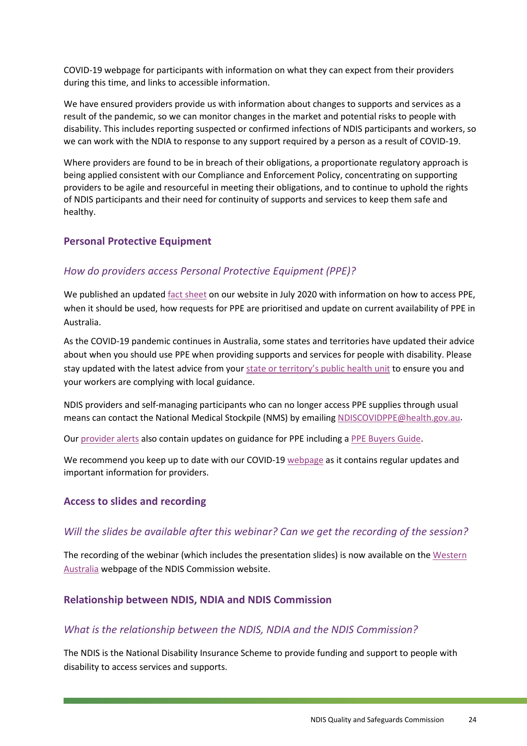COVID-19 webpage for participants with information on what they can expect from their providers during this time, and links to accessible information.

We have ensured providers provide us with information about changes to supports and services as a result of the pandemic, so we can monitor changes in the market and potential risks to people with disability. This includes reporting suspected or confirmed infections of NDIS participants and workers, so we can work with the NDIA to response to any support required by a person as a result of COVID-19.

Where providers are found to be in breach of their obligations, a proportionate regulatory approach is being applied consistent with our Compliance and Enforcement Policy, concentrating on supporting providers to be agile and resourceful in meeting their obligations, and to continue to uphold the rights of NDIS participants and their need for continuity of supports and services to keep them safe and healthy.

#### <span id="page-23-0"></span>**Personal Protective Equipment**

#### *How do providers access Personal Protective Equipment (PPE)?*

We published an update[d fact sheet](https://www.ndiscommission.gov.au/document/2001) on our website in July 2020 with information on how to access PPE, when it should be used, how requests for PPE are prioritised and update on current availability of PPE in Australia.

As the COVID-19 pandemic continues in Australia, some states and territories have updated their advice about when you should use PPE when providing supports and services for people with disability. Please stay updated with the latest advice from your [state or territory's public health unit](https://www.health.gov.au/about-us/contact-us/local-state-and-territory-health-departments) to ensure you and your workers are complying with local guidance.

NDIS providers and self-managing participants who can no longer access PPE supplies through usual means can contact the National Medical Stockpile (NMS) by emailing [NDISCOVIDPPE@health.gov.au.](mailto:NDISCOVIDPPE@health.gov.au)

Our [provider alerts](https://www.ndiscommission.gov.au/news-media/provider-newsletters#alerts) also contain updates on guidance for PPE including a [PPE Buyers Guide.](https://ndisqualityandsafeguardscommission.createsend1.com/t/t-l-xttvll-l-r/)

We recommend you keep up to date with our COVID-1[9 webpage](https://www.ndiscommission.gov.au/resources/coronavirus-covid-19-information) as it contains regular updates and important information for providers.

#### <span id="page-23-1"></span>**Access to slides and recording**

#### *Will the slides be available after this webinar? Can we get the recording of the session?*

The recording of the webinar (which includes the presentation slides) is now available on the [Western](https://www.ndiscommission.gov.au/wa)  [Australia](https://www.ndiscommission.gov.au/wa) webpage of the NDIS Commission website.

#### <span id="page-23-2"></span>**Relationship between NDIS, NDIA and NDIS Commission**

#### *What is the relationship between the NDIS, NDIA and the NDIS Commission?*

The NDIS is the National Disability Insurance Scheme to provide funding and support to people with disability to access services and supports.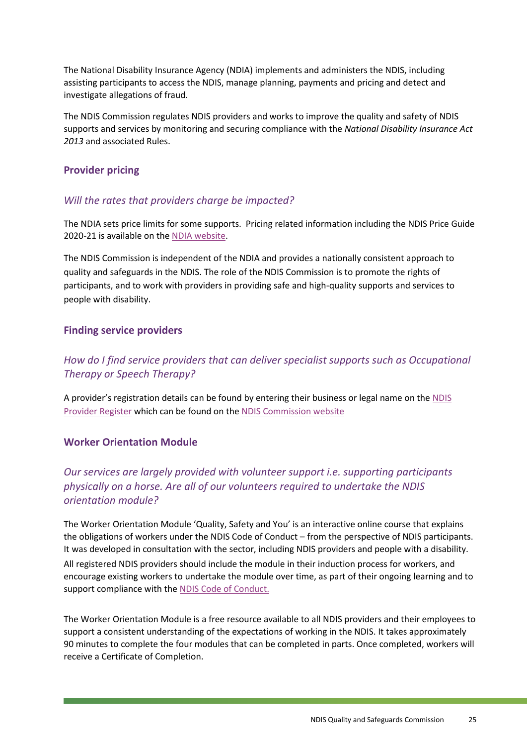The National Disability Insurance Agency (NDIA) implements and administers the NDIS, including assisting participants to access the NDIS, manage planning, payments and pricing and detect and investigate allegations of fraud.

The NDIS Commission regulates NDIS providers and works to improve the quality and safety of NDIS supports and services by monitoring and securing compliance with the *National Disability Insurance Act 2013* and associated Rules.

#### <span id="page-24-0"></span>**Provider pricing**

#### *Will the rates that providers charge be impacted?*

The NDIA sets price limits for some supports. Pricing related information including the NDIS Price Guide 2020-21 is available on the [NDIA website.](https://www.ndis.gov.au/providers/price-guides-and-pricing)

The NDIS Commission is independent of the NDIA and provides a nationally consistent approach to quality and safeguards in the NDIS. The role of the NDIS Commission is to promote the rights of participants, and to work with providers in providing safe and high-quality supports and services to people with disability.

#### <span id="page-24-1"></span>**Finding service providers**

### *How do I find service providers that can deliver specialist supports such as Occupational Therapy or Speech Therapy?*

A provider's registration details can be found by entering their business or legal name on th[e NDIS](https://www.ndiscommission.gov.au/resources/ndis-provider-register/search)  [Provider Register](https://www.ndiscommission.gov.au/resources/ndis-provider-register/search) which can be found on the [NDIS Commission website](https://www.ndiscommission.gov.au/)

#### <span id="page-24-2"></span>**Worker Orientation Module**

### *Our services are largely provided with volunteer support i.e. supporting participants physically on a horse. Are all of our volunteers required to undertake the NDIS orientation module?*

The Worker Orientation Module 'Quality, Safety and You' is an interactive online course that explains the obligations of workers under the [NDIS Code of Conduct](https://www.ndiscommission.gov.au/document/571) – from the perspective of NDIS participants. It was developed in consultation with the sector, including NDIS providers and people with a disability. All registered NDIS providers should include the module in their induction process for workers, and encourage existing workers to undertake the module over time, as part of their ongoing learning and to support compliance with the [NDIS Code of Conduct.](https://www.ndiscommission.gov.au/document/571)

The Worker Orientation Module is a free resource available to all NDIS providers and their employees to support a consistent understanding of the expectations of working in the NDIS. It takes approximately 90 minutes to complete the four modules that can be completed in parts. Once completed, workers will receive a Certificate of Completion.